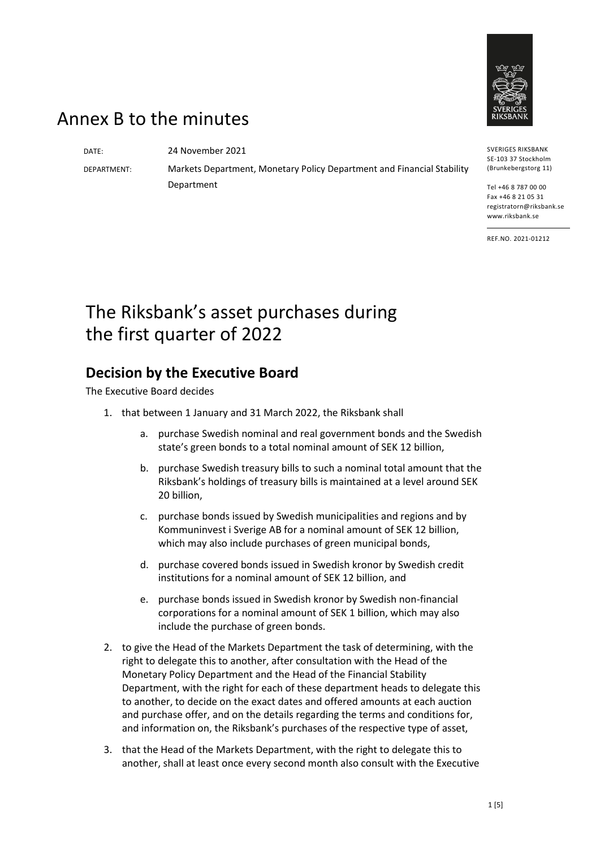

## Annex B to the minutes

DATE: 24 November 2021

DEPARTMENT: Markets Department, Monetary Policy Department and Financial Stability Department

SVERIGES RIKSBANK SE-103 37 Stockholm (Brunkebergstorg 11)

Tel +46 8 787 00 00 Fax +46 8 21 05 31 registratorn@riksbank.se www.riksbank.se

REF.NO. 2021-01212

# The Riksbank's asset purchases during the first quarter of 2022

### **Decision by the Executive Board**

The Executive Board decides

- 1. that between 1 January and 31 March 2022, the Riksbank shall
	- a. purchase Swedish nominal and real government bonds and the Swedish state's green bonds to a total nominal amount of SEK 12 billion,
	- b. purchase Swedish treasury bills to such a nominal total amount that the Riksbank's holdings of treasury bills is maintained at a level around SEK 20 billion,
	- c. purchase bonds issued by Swedish municipalities and regions and by Kommuninvest i Sverige AB for a nominal amount of SEK 12 billion, which may also include purchases of green municipal bonds,
	- d. purchase covered bonds issued in Swedish kronor by Swedish credit institutions for a nominal amount of SEK 12 billion, and
	- e. purchase bonds issued in Swedish kronor by Swedish non-financial corporations for a nominal amount of SEK 1 billion, which may also include the purchase of green bonds.
- 2. to give the Head of the Markets Department the task of determining, with the right to delegate this to another, after consultation with the Head of the Monetary Policy Department and the Head of the Financial Stability Department, with the right for each of these department heads to delegate this to another, to decide on the exact dates and offered amounts at each auction and purchase offer, and on the details regarding the terms and conditions for, and information on, the Riksbank's purchases of the respective type of asset,
- 3. that the Head of the Markets Department, with the right to delegate this to another, shall at least once every second month also consult with the Executive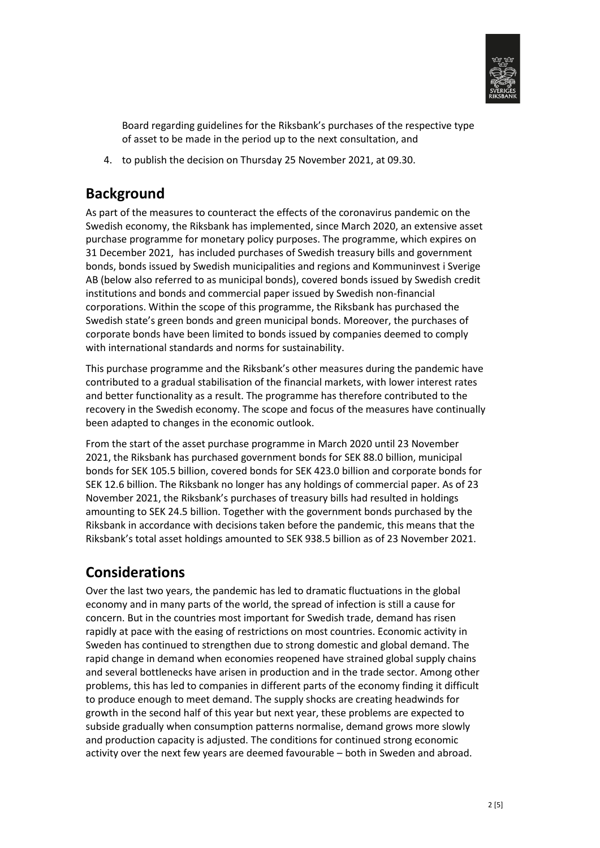

Board regarding guidelines for the Riksbank's purchases of the respective type of asset to be made in the period up to the next consultation, and

4. to publish the decision on Thursday 25 November 2021, at 09.30.

### **Background**

As part of the measures to counteract the effects of the coronavirus pandemic on the Swedish economy, the Riksbank has implemented, since March 2020, an extensive asset purchase programme for monetary policy purposes. The programme, which expires on 31 December 2021, has included purchases of Swedish treasury bills and government bonds, bonds issued by Swedish municipalities and regions and Kommuninvest i Sverige AB (below also referred to as municipal bonds), covered bonds issued by Swedish credit institutions and bonds and commercial paper issued by Swedish non-financial corporations. Within the scope of this programme, the Riksbank has purchased the Swedish state's green bonds and green municipal bonds. Moreover, the purchases of corporate bonds have been limited to bonds issued by companies deemed to comply with international standards and norms for sustainability.

This purchase programme and the Riksbank's other measures during the pandemic have contributed to a gradual stabilisation of the financial markets, with lower interest rates and better functionality as a result. The programme has therefore contributed to the recovery in the Swedish economy. The scope and focus of the measures have continually been adapted to changes in the economic outlook.

From the start of the asset purchase programme in March 2020 until 23 November 2021, the Riksbank has purchased government bonds for SEK 88.0 billion, municipal bonds for SEK 105.5 billion, covered bonds for SEK 423.0 billion and corporate bonds for SEK 12.6 billion. The Riksbank no longer has any holdings of commercial paper. As of 23 November 2021, the Riksbank's purchases of treasury bills had resulted in holdings amounting to SEK 24.5 billion. Together with the government bonds purchased by the Riksbank in accordance with decisions taken before the pandemic, this means that the Riksbank's total asset holdings amounted to SEK 938.5 billion as of 23 November 2021.

### **Considerations**

Over the last two years, the pandemic has led to dramatic fluctuations in the global economy and in many parts of the world, the spread of infection is still a cause for concern. But in the countries most important for Swedish trade, demand has risen rapidly at pace with the easing of restrictions on most countries. Economic activity in Sweden has continued to strengthen due to strong domestic and global demand. The rapid change in demand when economies reopened have strained global supply chains and several bottlenecks have arisen in production and in the trade sector. Among other problems, this has led to companies in different parts of the economy finding it difficult to produce enough to meet demand. The supply shocks are creating headwinds for growth in the second half of this year but next year, these problems are expected to subside gradually when consumption patterns normalise, demand grows more slowly and production capacity is adjusted. The conditions for continued strong economic activity over the next few years are deemed favourable – both in Sweden and abroad.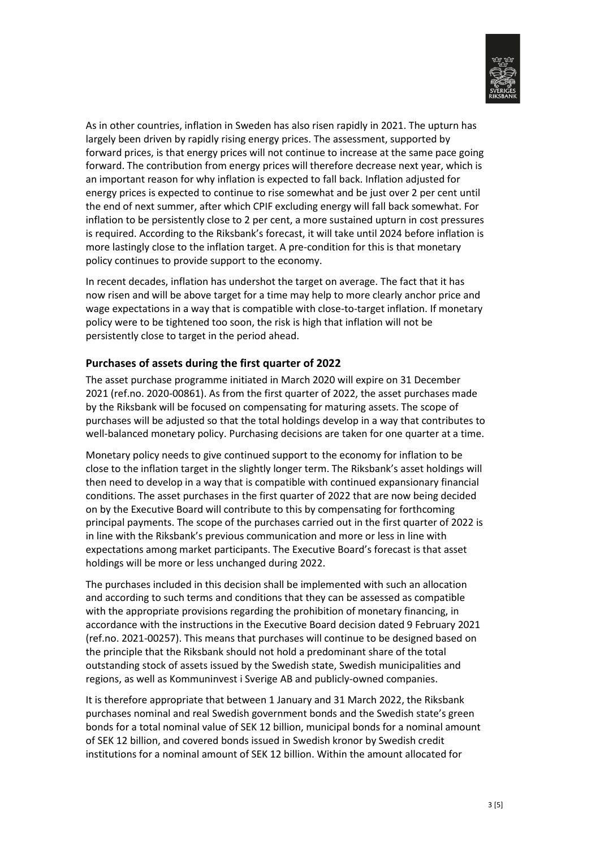

As in other countries, inflation in Sweden has also risen rapidly in 2021. The upturn has largely been driven by rapidly rising energy prices. The assessment, supported by forward prices, is that energy prices will not continue to increase at the same pace going forward. The contribution from energy prices will therefore decrease next year, which is an important reason for why inflation is expected to fall back. Inflation adjusted for energy prices is expected to continue to rise somewhat and be just over 2 per cent until the end of next summer, after which CPIF excluding energy will fall back somewhat. For inflation to be persistently close to 2 per cent, a more sustained upturn in cost pressures is required. According to the Riksbank's forecast, it will take until 2024 before inflation is more lastingly close to the inflation target. A pre-condition for this is that monetary policy continues to provide support to the economy.

In recent decades, inflation has undershot the target on average. The fact that it has now risen and will be above target for a time may help to more clearly anchor price and wage expectations in a way that is compatible with close-to-target inflation. If monetary policy were to be tightened too soon, the risk is high that inflation will not be persistently close to target in the period ahead.

#### **Purchases of assets during the first quarter of 2022**

The asset purchase programme initiated in March 2020 will expire on 31 December 2021 (ref.no. 2020-00861). As from the first quarter of 2022, the asset purchases made by the Riksbank will be focused on compensating for maturing assets. The scope of purchases will be adjusted so that the total holdings develop in a way that contributes to well-balanced monetary policy. Purchasing decisions are taken for one quarter at a time.

Monetary policy needs to give continued support to the economy for inflation to be close to the inflation target in the slightly longer term. The Riksbank's asset holdings will then need to develop in a way that is compatible with continued expansionary financial conditions. The asset purchases in the first quarter of 2022 that are now being decided on by the Executive Board will contribute to this by compensating for forthcoming principal payments. The scope of the purchases carried out in the first quarter of 2022 is in line with the Riksbank's previous communication and more or less in line with expectations among market participants. The Executive Board's forecast is that asset holdings will be more or less unchanged during 2022.

The purchases included in this decision shall be implemented with such an allocation and according to such terms and conditions that they can be assessed as compatible with the appropriate provisions regarding the prohibition of monetary financing, in accordance with the instructions in the Executive Board decision dated 9 February 2021 (ref.no. 2021-00257). This means that purchases will continue to be designed based on the principle that the Riksbank should not hold a predominant share of the total outstanding stock of assets issued by the Swedish state, Swedish municipalities and regions, as well as Kommuninvest i Sverige AB and publicly-owned companies.

It is therefore appropriate that between 1 January and 31 March 2022, the Riksbank purchases nominal and real Swedish government bonds and the Swedish state's green bonds for a total nominal value of SEK 12 billion, municipal bonds for a nominal amount of SEK 12 billion, and covered bonds issued in Swedish kronor by Swedish credit institutions for a nominal amount of SEK 12 billion. Within the amount allocated for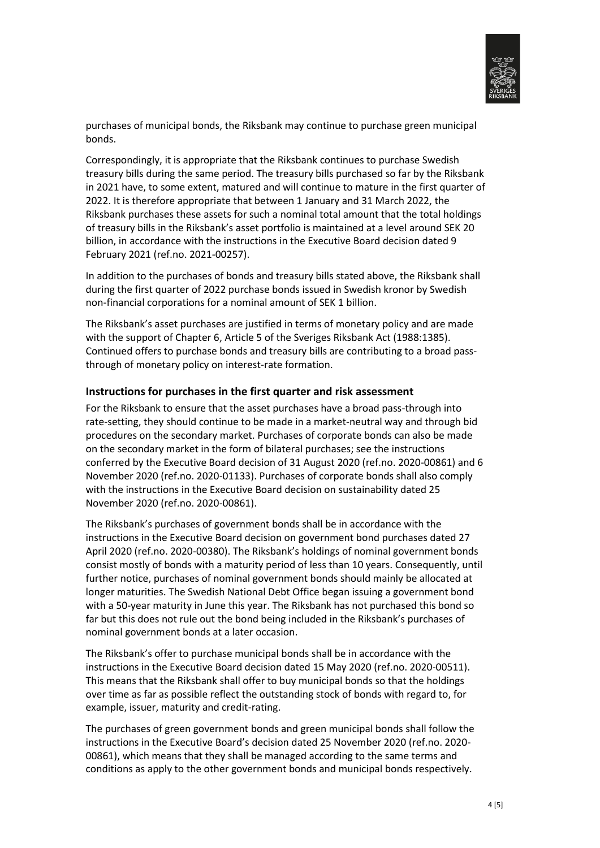

purchases of municipal bonds, the Riksbank may continue to purchase green municipal bonds.

Correspondingly, it is appropriate that the Riksbank continues to purchase Swedish treasury bills during the same period. The treasury bills purchased so far by the Riksbank in 2021 have, to some extent, matured and will continue to mature in the first quarter of 2022. It is therefore appropriate that between 1 January and 31 March 2022, the Riksbank purchases these assets for such a nominal total amount that the total holdings of treasury bills in the Riksbank's asset portfolio is maintained at a level around SEK 20 billion, in accordance with the instructions in the Executive Board decision dated 9 February 2021 (ref.no. 2021-00257).

In addition to the purchases of bonds and treasury bills stated above, the Riksbank shall during the first quarter of 2022 purchase bonds issued in Swedish kronor by Swedish non-financial corporations for a nominal amount of SEK 1 billion.

The Riksbank's asset purchases are justified in terms of monetary policy and are made with the support of Chapter 6, Article 5 of the Sveriges Riksbank Act (1988:1385). Continued offers to purchase bonds and treasury bills are contributing to a broad passthrough of monetary policy on interest-rate formation.

#### **Instructions for purchases in the first quarter and risk assessment**

For the Riksbank to ensure that the asset purchases have a broad pass-through into rate-setting, they should continue to be made in a market-neutral way and through bid procedures on the secondary market. Purchases of corporate bonds can also be made on the secondary market in the form of bilateral purchases; see the instructions conferred by the Executive Board decision of 31 August 2020 (ref.no. 2020-00861) and 6 November 2020 (ref.no. 2020-01133). Purchases of corporate bonds shall also comply with the instructions in the Executive Board decision on sustainability dated 25 November 2020 (ref.no. 2020-00861).

The Riksbank's purchases of government bonds shall be in accordance with the instructions in the Executive Board decision on government bond purchases dated 27 April 2020 (ref.no. 2020-00380). The Riksbank's holdings of nominal government bonds consist mostly of bonds with a maturity period of less than 10 years. Consequently, until further notice, purchases of nominal government bonds should mainly be allocated at longer maturities. The Swedish National Debt Office began issuing a government bond with a 50-year maturity in June this year. The Riksbank has not purchased this bond so far but this does not rule out the bond being included in the Riksbank's purchases of nominal government bonds at a later occasion.

The Riksbank's offer to purchase municipal bonds shall be in accordance with the instructions in the Executive Board decision dated 15 May 2020 (ref.no. 2020-00511). This means that the Riksbank shall offer to buy municipal bonds so that the holdings over time as far as possible reflect the outstanding stock of bonds with regard to, for example, issuer, maturity and credit-rating.

The purchases of green government bonds and green municipal bonds shall follow the instructions in the Executive Board's decision dated 25 November 2020 (ref.no. 2020- 00861), which means that they shall be managed according to the same terms and conditions as apply to the other government bonds and municipal bonds respectively.